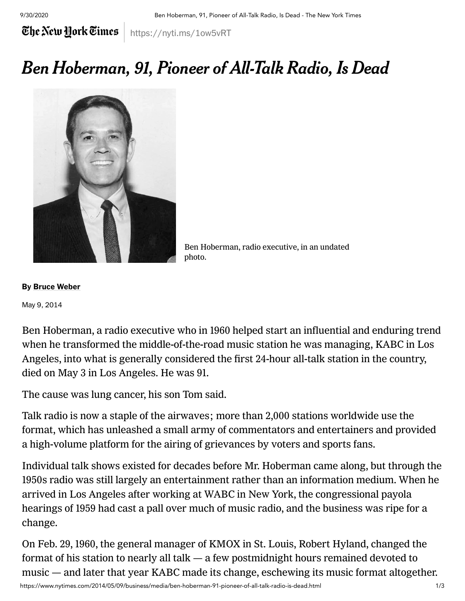The New Hork Times

## https://nyti.ms/1ow5vRT

## Ben Hoberman, 91, Pioneer of All-Talk Radio, Is Dead



Ben Hoberman, radio executive, in an undated photo.

By Bruce [Weber](http://www.nytimes.com/by/bruce-weber)

May 9, 2014

Ben Hoberman, a radio executive who in 1960 helped start an influential and enduring trend when he transformed the middle-of-the-road music station he was managing, KABC in Los Angeles, into what is generally considered the first 24-hour all-talk station in the country, died on May 3 in Los Angeles. He was 91.

The cause was lung cancer, his son Tom said.

Talk radio is now a staple of the airwaves; more than 2,000 stations worldwide use the format, which has unleashed a small army of commentators and entertainers and provided a high-volume platform for the airing of grievances by voters and sports fans.

Individual talk shows existed for decades before Mr. Hoberman came along, but through the 1950s radio was still largely an entertainment rather than an information medium. When he arrived in Los Angeles after working at WABC in New York, the congressional payola hearings of 1959 had cast a pall over much of music radio, and the business was ripe for a change.

On Feb. 29, 1960, the general manager of KMOX in St. Louis, Robert Hyland, changed the format of his station to nearly all talk — a few postmidnight hours remained devoted to music — and later that year KABC made its change, eschewing its music format altogether.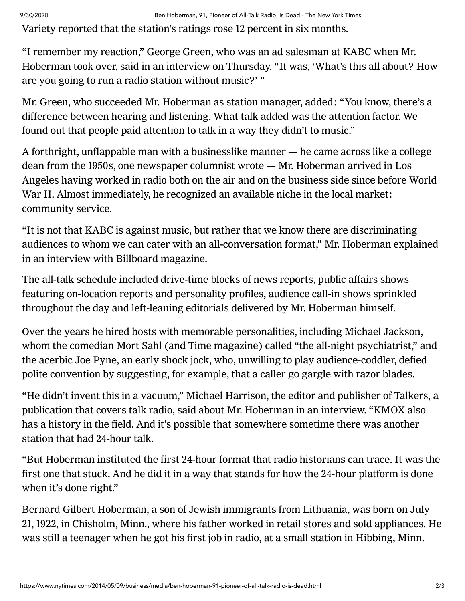Variety reported that the station's ratings rose 12 percent in six months.

"I remember my reaction," George Green, who was an ad salesman at KABC when Mr. Hoberman took over, said in an interview on Thursday. "It was, ʻWhat's this all about? How are you going to run a radio station without music?' "

Mr. Green, who succeeded Mr. Hoberman as station manager, added: "You know, there's a difference between hearing and listening. What talk added was the attention factor. We found out that people paid attention to talk in a way they didn't to music."

A forthright, unflappable man with a businesslike manner — he came across like a college dean from the 1950s, one newspaper columnist wrote — Mr. Hoberman arrived in Los Angeles having worked in radio both on the air and on the business side since before World War II. Almost immediately, he recognized an available niche in the local market: community service.

"It is not that KABC is against music, but rather that we know there are discriminating audiences to whom we can cater with an all-conversation format," Mr. Hoberman explained in an interview with Billboard magazine.

The all-talk schedule included drive-time blocks of news reports, public affairs shows featuring on-location reports and personality profiles, audience call-in shows sprinkled throughout the day and left-leaning editorials delivered by Mr. Hoberman himself.

Over the years he hired hosts with memorable personalities, including Michael Jackson, whom the comedian Mort Sahl (and Time magazine) called "the all-night psychiatrist," and the acerbic [Joe Pyne](http://select.nytimes.com/gst/abstract.html?res=F60616FC3F5A157493C7AB1788D85F448785F9&action=click&module=Search®ion=searchResults&mabReward=relbias%3Ar&url=http%3A%2F%2Fquery.nytimes.com%2Fsearch%2Fsitesearch%2F%3Faction%3Dclick%26region%3DMasthead%26pgtype%3DHomepage%26module%3DSearchSubmit%26contentCollection%3DHomepage%26t%3Dqry182%23%2Fjoe%2520pyne), an early shock jock, who, unwilling to play audience-coddler, defied polite convention by suggesting, for example, that a caller go gargle with razor blades.

"He didn't invent this in a vacuum," Michael Harrison, the editor and publisher of Talkers, a publication that covers talk radio, said about Mr. Hoberman in an interview. "KMOX also has a history in the field. And it's possible that somewhere sometime there was another station that had 24-hour talk.

"But Hoberman instituted the first 24-hour format that radio historians can trace. It was the first one that stuck. And he did it in a way that stands for how the 24-hour platform is done when it's done right."

Bernard Gilbert Hoberman, a son of Jewish immigrants from Lithuania, was born on July 21, 1922, in Chisholm, Minn., where his father worked in retail stores and sold appliances. He was still a teenager when he got his first job in radio, at a small station in Hibbing, Minn.